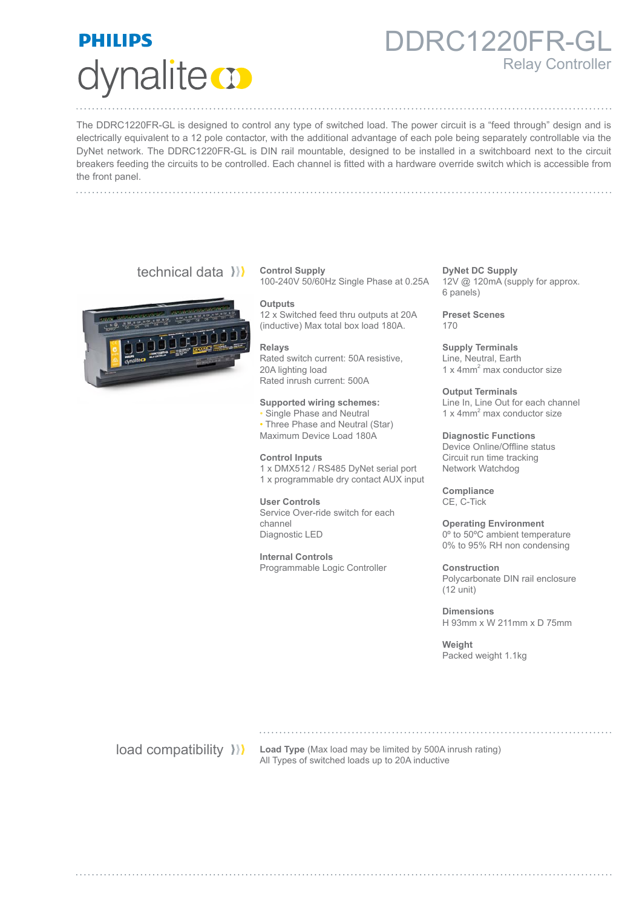# **PHILIPS** dynalite **o**

### DDRC1220FR-GL Relay Controller

The DDRC1220FR-GL is designed to control any type of switched load. The power circuit is a "feed through" design and is electrically equivalent to a 12 pole contactor, with the additional advantage of each pole being separately controllable via the DyNet network. The DDRC1220FR-GL is DIN rail mountable, designed to be installed in a switchboard next to the circuit breakers feeding the circuits to be controlled. Each channel is fitted with a hardware override switch which is accessible from the front panel.

### technical data ))



**Control Supply** 100-240V 50/60Hz Single Phase at 0.25A

**Outputs**

12 x Switched feed thru outputs at 20A (inductive) Max total box load 180A.

#### **Relays**

Rated switch current: 50A resistive, 20A lighting load Rated inrush current: 500A

#### **Supported wiring schemes:**

• Single Phase and Neutral

• Three Phase and Neutral (Star) Maximum Device Load 180A

**Control Inputs**

1 x DMX512 / RS485 DyNet serial port 1 x programmable dry contact AUX input

**User Controls** Service Over-ride switch for each channel Diagnostic LED

**Internal Controls** Programmable Logic Controller **DyNet DC Supply** 12V @ 120mA (supply for approx. 6 panels)

**Preset Scenes** 170

**Supply Terminals** Line, Neutral, Earth 1 x 4mm<sup>2</sup> max conductor size

**Output Terminals** Line In, Line Out for each channel 1 x 4mm2 max conductor size

**Diagnostic Functions** Device Online/Offline status Circuit run time tracking Network Watchdog

**Compliance** CE, C-Tick

**Operating Environment** 0º to 50ºC ambient temperature 0% to 95% RH non condensing

**Construction** Polycarbonate DIN rail enclosure (12 unit)

**Dimensions** H 93mm x W 211mm x D 75mm

**Weight** Packed weight 1.1kg

**load compatibility >>>>>** Load Type (Max load may be limited by 500A inrush rating) All Types of switched loads up to 20A inductive